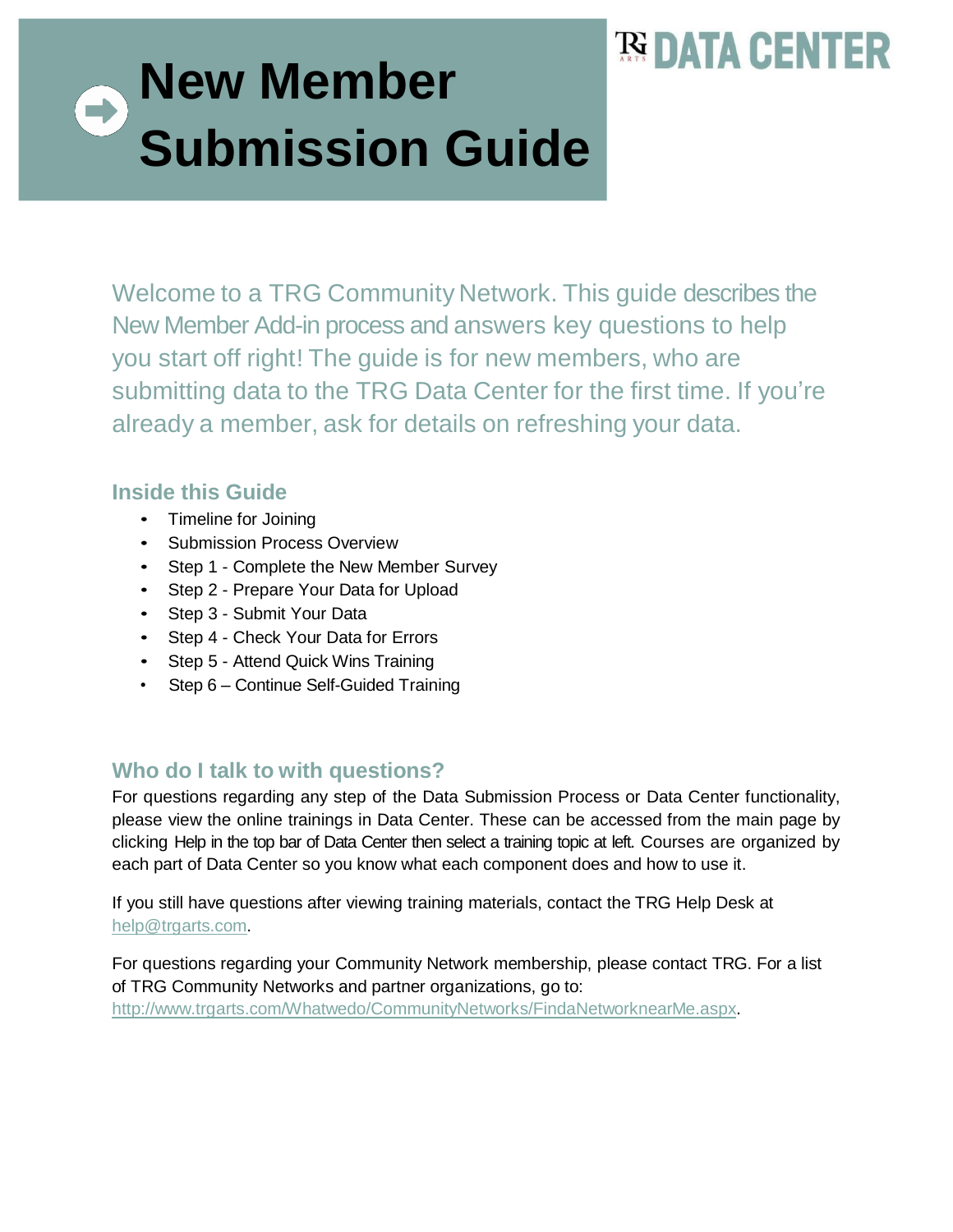# **REDATA CENTER**

## **New Member**  $\rightarrow$ **Submission Guide**

Welcome to a TRG Community Network. This guide describes the New Member Add-in process and answers key questions to help you start off right! The guide is for new members, who are submitting data to the TRG Data Center for the first time. If you're already a member, ask for details on refreshing your data.

## **Inside this Guide**

- Timeline for Joining
- Submission Process Overview
- Step 1 Complete the New Member Survey
- Step 2 Prepare Your Data for Upload
- Step 3 Submit Your Data
- Step 4 Check Your Data for Errors
- Step 5 Attend Quick Wins Training
- Step 6 Continue Self-Guided Training

## **Who do I talk to with questions?**

For questions regarding any step of the Data Submission Process or Data Center functionality, please view the online trainings in Data Center. These can be accessed from the main page by clicking Help in the top bar of Data Center then select a training topic at left. Courses are organized by each part of Data Center so you know what each component does and how to use it.

If you still have questions after viewing training materials, contact the TRG Help Desk at [help@trgarts.com.](mailto:help@trgarts.com)

For questions regarding your Community Network membership, please contact TRG. For a list of TRG Community Networks and partner organizations, go to:

[http://www.trgarts.com/Whatwedo/CommunityNetworks/FindaNetworknearMe.aspx.](http://www.trgarts.com/Whatwedo/CommunityNetworks/FindaNetworknearMe.aspx)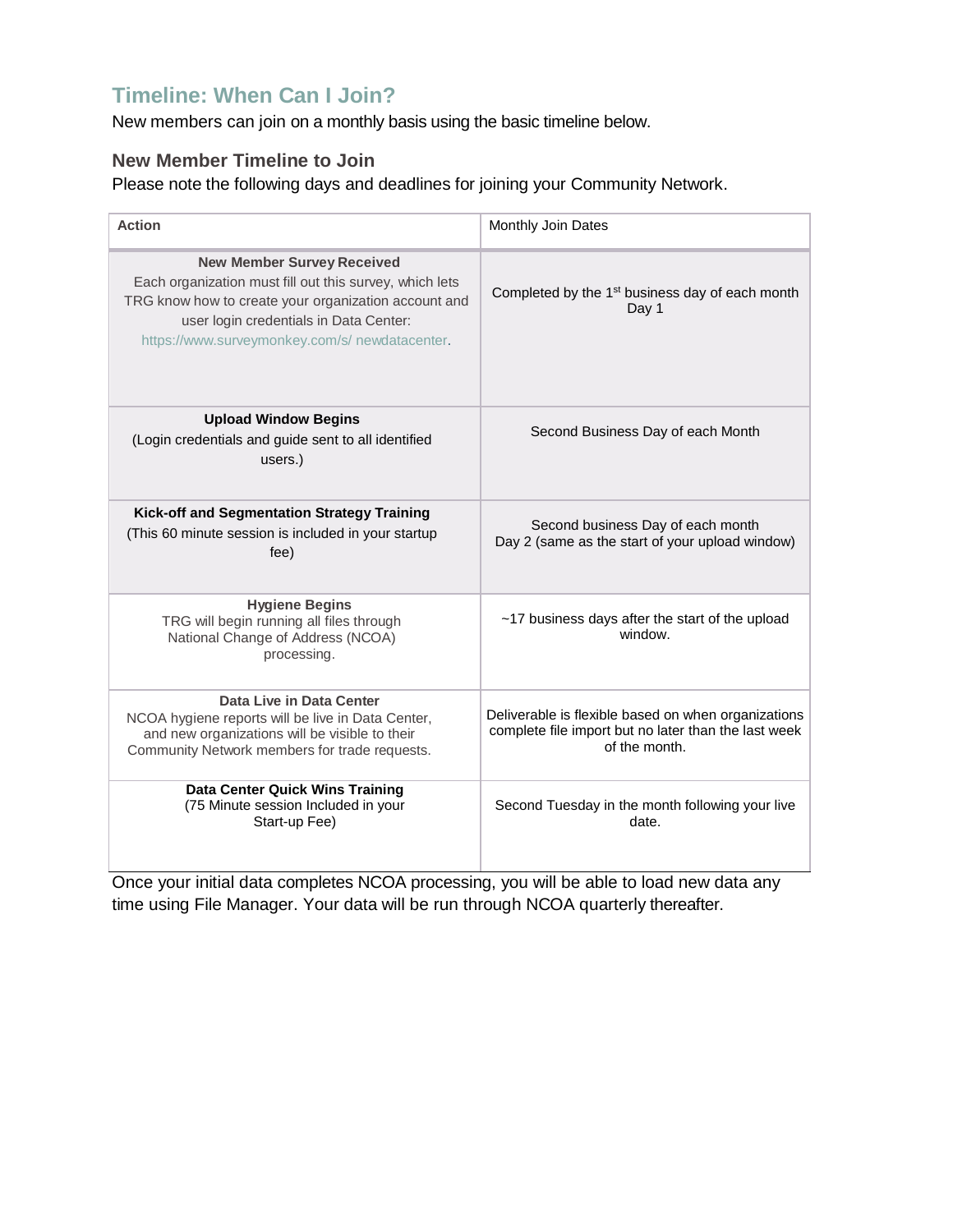## **Timeline: When Can I Join?**

New members can join on a monthly basis using the basic timeline below.

## **New Member Timeline to Join**

Please note the following days and deadlines for joining your Community Network.

| <b>Action</b>                                                                                                                                                                                                                                    | Monthly Join Dates                                                                                                           |  |
|--------------------------------------------------------------------------------------------------------------------------------------------------------------------------------------------------------------------------------------------------|------------------------------------------------------------------------------------------------------------------------------|--|
| <b>New Member Survey Received</b><br>Each organization must fill out this survey, which lets<br>TRG know how to create your organization account and<br>user login credentials in Data Center:<br>https://www.surveymonkey.com/s/ newdatacenter. | Completed by the 1 <sup>st</sup> business day of each month<br>Day 1                                                         |  |
| <b>Upload Window Begins</b><br>(Login credentials and guide sent to all identified<br>users.)                                                                                                                                                    | Second Business Day of each Month                                                                                            |  |
| Kick-off and Segmentation Strategy Training<br>(This 60 minute session is included in your startup<br>fee)                                                                                                                                       | Second business Day of each month<br>Day 2 (same as the start of your upload window)                                         |  |
| <b>Hygiene Begins</b><br>TRG will begin running all files through<br>National Change of Address (NCOA)<br>processing.                                                                                                                            | ~17 business days after the start of the upload<br>window.                                                                   |  |
| Data Live in Data Center<br>NCOA hygiene reports will be live in Data Center,<br>and new organizations will be visible to their<br>Community Network members for trade requests.                                                                 | Deliverable is flexible based on when organizations<br>complete file import but no later than the last week<br>of the month. |  |
| <b>Data Center Quick Wins Training</b><br>(75 Minute session Included in your<br>Start-up Fee)                                                                                                                                                   | Second Tuesday in the month following your live<br>date.                                                                     |  |

Once your initial data completes NCOA processing, you will be able to load new data any time using File Manager. Your data will be run through NCOA quarterly thereafter.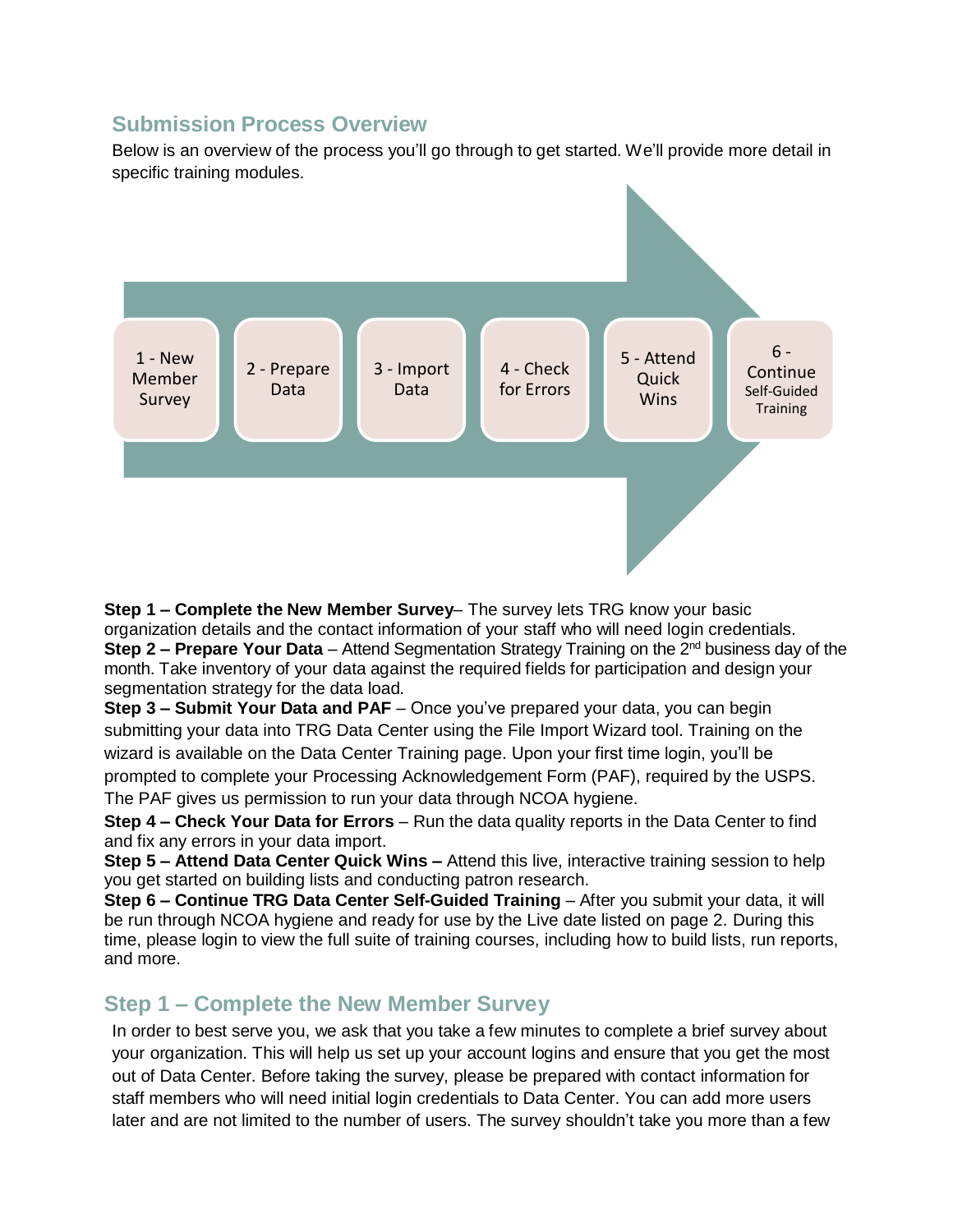## **Submission Process Overview**

Below is an overview of the process you'll go through to get started. We'll provide more detail in specific training modules.



**Step 1 – Complete the New Member Survey**– The survey lets TRG know your basic organization details and the contact information of your staff who will need login credentials. **Step 2 – Prepare Your Data** – Attend Segmentation Strategy Training on the 2 nd business day of the month. Take inventory of your data against the required fields for participation and design your segmentation strategy for the data load.

**Step 3 – Submit Your Data and PAF** – Once you've prepared your data, you can begin submitting your data into TRG Data Center using the File Import Wizard tool. Training on the wizard is available on the Data Center Training page. Upon your first time login, you'll be prompted to complete your Processing Acknowledgement Form (PAF), required by the USPS. The PAF gives us permission to run your data through NCOA hygiene.

**Step 4 – Check Your Data for Errors** – Run the data quality reports in the Data Center to find and fix any errors in your data import.

**Step 5 – Attend Data Center Quick Wins –** Attend this live, interactive training session to help you get started on building lists and conducting patron research.

**Step 6 – Continue TRG Data Center Self-Guided Training** – After you submit your data, it will be run through NCOA hygiene and ready for use by the Live date listed on page 2. During this time, please login to view the full suite of training courses, including how to build lists, run reports, and more.

## **Step 1 – Complete the New Member Survey**

In order to best serve you, we ask that you take a few minutes to complete a brief survey about your organization. This will help us set up your account logins and ensure that you get the most out of Data Center. Before taking the survey, please be prepared with contact information for staff members who will need initial login credentials to Data Center. You can add more users later and are not limited to the number of users. The survey shouldn't take you more than a few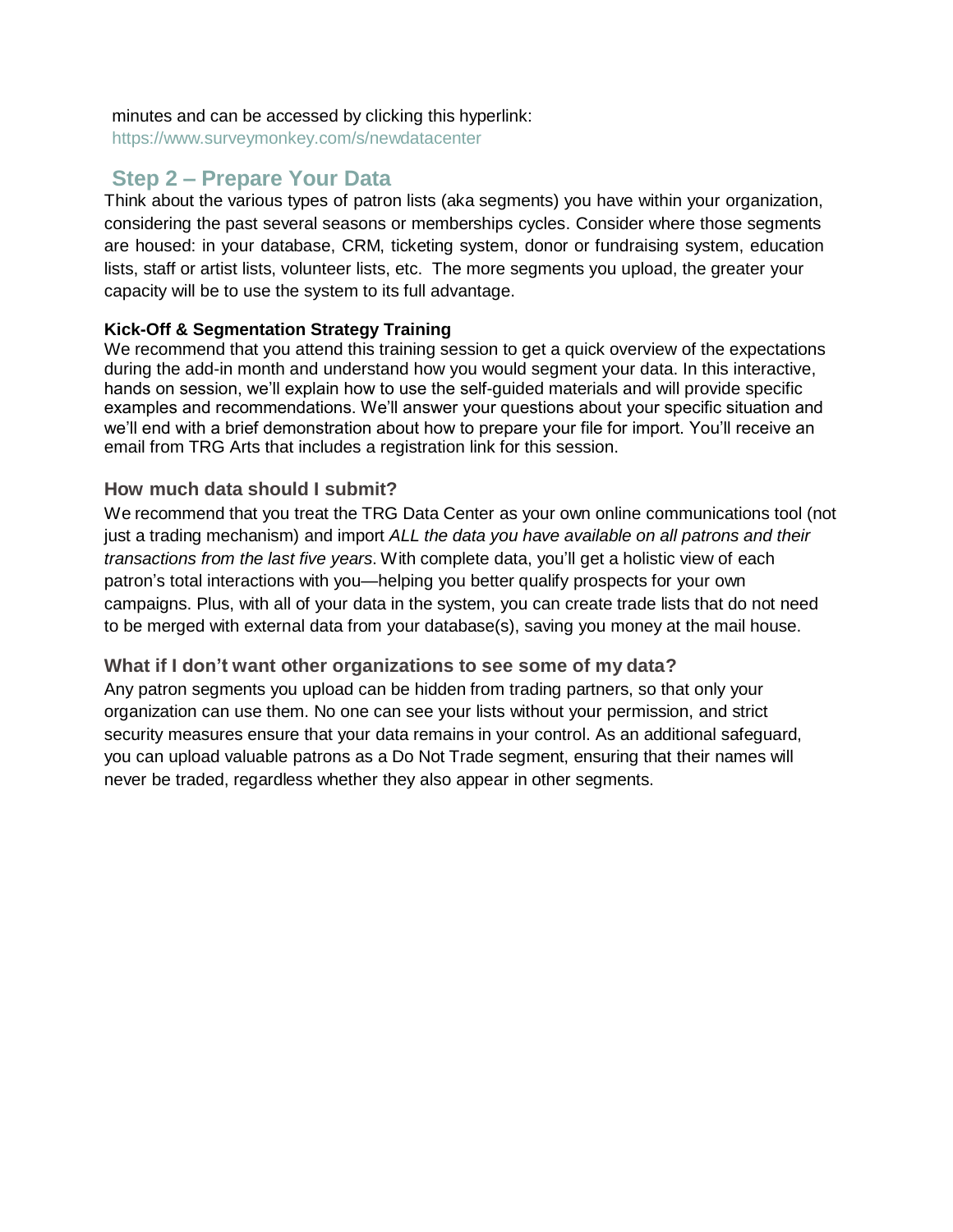#### minutes and can be accessed by clicking this hyperlink:

<https://www.surveymonkey.com/s/newdatacenter>

## **Step 2 – Prepare Your Data**

Think about the various types of patron lists (aka segments) you have within your organization, considering the past several seasons or memberships cycles. Consider where those segments are housed: in your database, CRM, ticketing system, donor or fundraising system, education lists, staff or artist lists, volunteer lists, etc. The more segments you upload, the greater your capacity will be to use the system to its full advantage.

#### **Kick-Off & Segmentation Strategy Training**

We recommend that you attend this training session to get a quick overview of the expectations during the add-in month and understand how you would segment your data. In this interactive, hands on session, we'll explain how to use the self-guided materials and will provide specific examples and recommendations. We'll answer your questions about your specific situation and we'll end with a brief demonstration about how to prepare your file for import. You'll receive an email from TRG Arts that includes a registration link for this session.

#### **How much data should I submit?**

We recommend that you treat the TRG Data Center as your own online communications tool (not just a trading mechanism) and import *ALL the data you have available on all patrons and their transactions from the last five years*. With complete data, you'll get a holistic view of each patron's total interactions with you—helping you better qualify prospects for your own campaigns. Plus, with all of your data in the system, you can create trade lists that do not need to be merged with external data from your database(s), saving you money at the mail house.

#### **What if I don't want other organizations to see some of my data?**

Any patron segments you upload can be hidden from trading partners, so that only your organization can use them. No one can see your lists without your permission, and strict security measures ensure that your data remains in your control. As an additional safeguard, you can upload valuable patrons as a Do Not Trade segment, ensuring that their names will never be traded, regardless whether they also appear in other segments.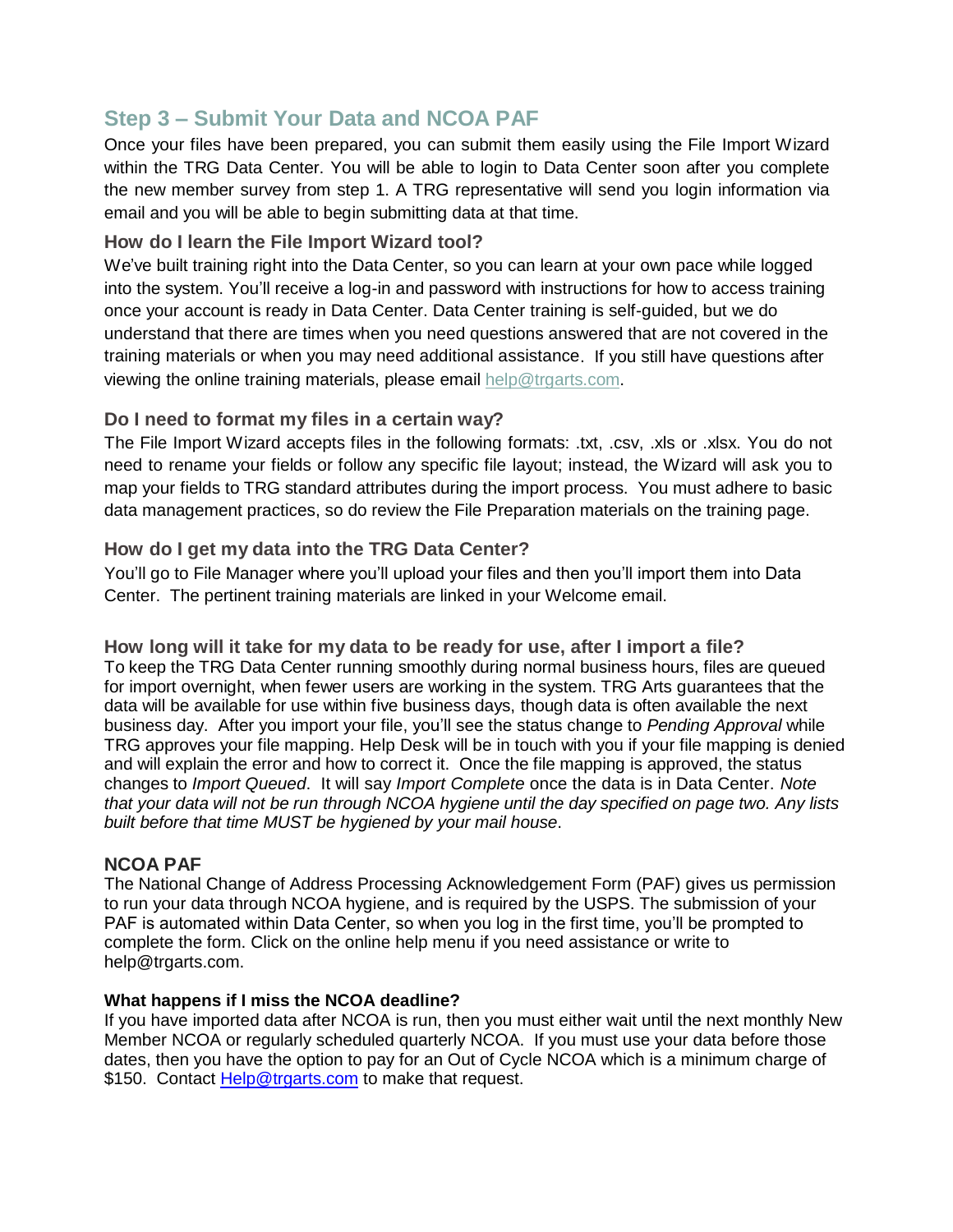## **Step 3 – Submit Your Data and NCOA PAF**

Once your files have been prepared, you can submit them easily using the File Import Wizard within the TRG Data Center. You will be able to login to Data Center soon after you complete the new member survey from step 1. A TRG representative will send you login information via email and you will be able to begin submitting data at that time.

#### **How do I learn the File Import Wizard tool?**

We've built training right into the Data Center, so you can learn at your own pace while logged into the system. You'll receive a log-in and password with instructions for how to access training once your account is ready in Data Center. Data Center training is self-guided, but we do understand that there are times when you need questions answered that are not covered in the training materials or when you may need additional assistance. If you still have questions after viewing the online training materials, please email [help@trgarts.com.](mailto:help@trgarts.com)

#### **Do I need to format my files in a certain way?**

The File Import Wizard accepts files in the following formats: .txt, .csv, .xls or .xlsx. You do not need to rename your fields or follow any specific file layout; instead, the Wizard will ask you to map your fields to TRG standard attributes during the import process. You must adhere to basic data management practices, so do review the File Preparation materials on the training page.

#### **How do I get my data into the TRG Data Center?**

You'll go to File Manager where you'll upload your files and then you'll import them into Data Center. The pertinent training materials are linked in your Welcome email.

**How long will it take for my data to be ready for use, after I import a file?** To keep the TRG Data Center running smoothly during normal business hours, files are queued for import overnight, when fewer users are working in the system. TRG Arts guarantees that the data will be available for use within five business days, though data is often available the next business day. After you import your file, you'll see the status change to *Pending Approval* while TRG approves your file mapping. Help Desk will be in touch with you if your file mapping is denied and will explain the error and how to correct it. Once the file mapping is approved, the status changes to *Import Queued*. It will say *Import Complete* once the data is in Data Center. *Note that your data will not be run through NCOA hygiene until the day specified on page two. Any lists built before that time MUST be hygiened by your mail house*.

### **NCOA PAF**

The National Change of Address Processing Acknowledgement Form (PAF) gives us permission to run your data through NCOA hygiene, and is required by the USPS. The submission of your PAF is automated within Data Center, so when you log in the first time, you'll be prompted to complete the form. Click on the online help menu if you need assistance or write to help@trgarts.com.

#### **What happens if I miss the NCOA deadline?**

If you have imported data after NCOA is run, then you must either wait until the next monthly New Member NCOA or regularly scheduled quarterly NCOA. If you must use your data before those dates, then you have the option to pay for an Out of Cycle NCOA which is a minimum charge of \$150. Contact [Help@trgarts.com](mailto:Help@trgarts.com) to make that request.